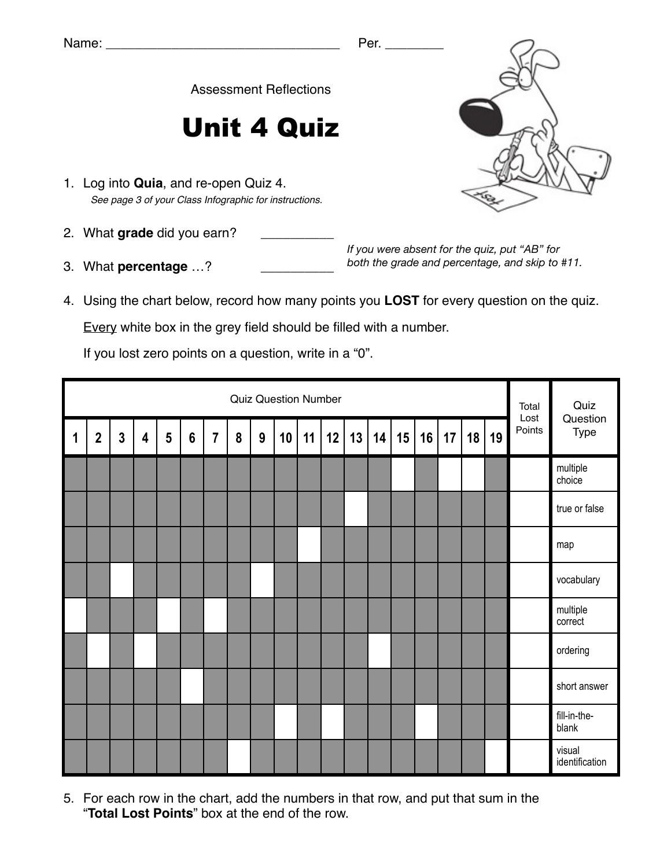Assessment Reflections

## Unit 4 Quiz

- 1. Log into **Quia**, and re-open Quiz 4. *See page 3 of your Class Infographic for instructions.*
- 2. What grade did you earn?
- 3. What **percentage** ...?

*If you were absent for the quiz, put "AB" for both the grade and percentage, and skip to #11.*

4. Using the chart below, record how many points you **LOST** for every question on the quiz.

Every white box in the grey field should be filled with a number.

If you lost zero points on a question, write in a "0".

|   | <b>Quiz Question Number</b> |                |   |   |                |                |   |   |    |    |    |    |    |    |    |    | Total<br>Lost | Quiz<br>Question |        |                          |
|---|-----------------------------|----------------|---|---|----------------|----------------|---|---|----|----|----|----|----|----|----|----|---------------|------------------|--------|--------------------------|
| 1 | $\mathbf 2$                 | $\overline{3}$ | 4 | 5 | $6\phantom{1}$ | $\overline{7}$ | 8 | 9 | 10 | 11 | 12 | 13 | 14 | 15 | 16 | 17 | 18            | 19               | Points | Type                     |
|   |                             |                |   |   |                |                |   |   |    |    |    |    |    |    |    |    |               |                  |        | multiple<br>choice       |
|   |                             |                |   |   |                |                |   |   |    |    |    |    |    |    |    |    |               |                  |        | true or false            |
|   |                             |                |   |   |                |                |   |   |    |    |    |    |    |    |    |    |               |                  |        | map                      |
|   |                             |                |   |   |                |                |   |   |    |    |    |    |    |    |    |    |               |                  |        | vocabulary               |
|   |                             |                |   |   |                |                |   |   |    |    |    |    |    |    |    |    |               |                  |        | multiple<br>correct      |
|   |                             |                |   |   |                |                |   |   |    |    |    |    |    |    |    |    |               |                  |        | ordering                 |
|   |                             |                |   |   |                |                |   |   |    |    |    |    |    |    |    |    |               |                  |        | short answer             |
|   |                             |                |   |   |                |                |   |   |    |    |    |    |    |    |    |    |               |                  |        | fill-in-the-<br>blank    |
|   |                             |                |   |   |                |                |   |   |    |    |    |    |    |    |    |    |               |                  |        | visual<br>identification |

5. For each row in the chart, add the numbers in that row, and put that sum in the "**Total Lost Points**" box at the end of the row.